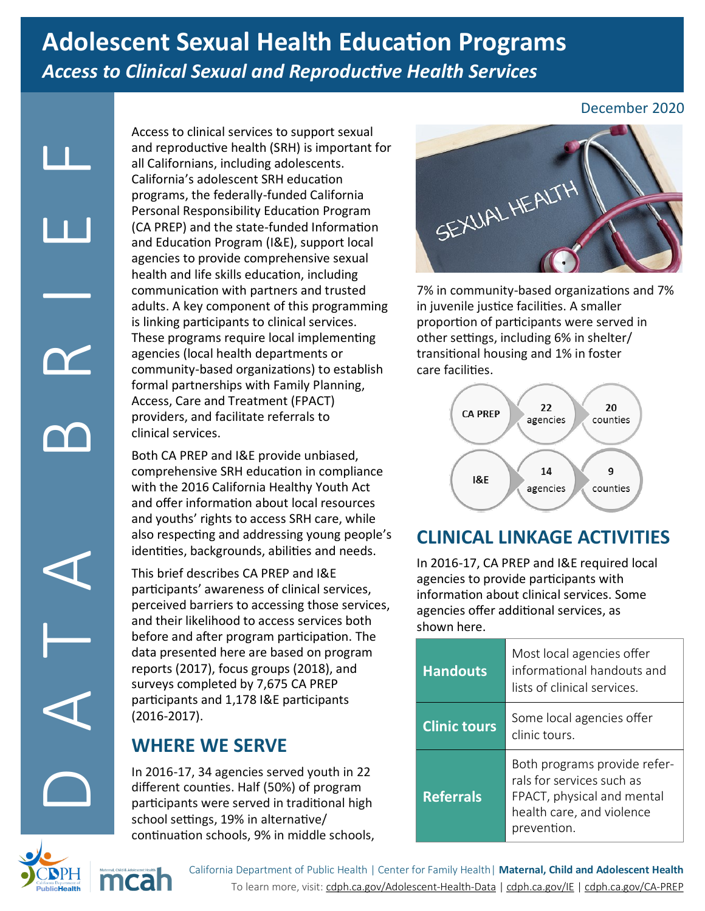# **Adolescent Sexual Health Education Programs** *Access to Clinical Sexual and Reproductive Health Services*

Access<br>
and re<br>
all Califor<br>
program<br>
erstor<br>
(CA PF<br>
agencic comm<br>
adults<br>
is linki<br>
is linki<br>
is linki<br>
These<br>
agencic comm<br>
forma<br>
Access<br>
provid<br>
compr<br>
with tl<br>
and of<br>
and y<br>
also re<br>
id and y<br>
also re<br>
identiti<br>
and

mcal

Access to clinical services to support sexual and reproductive health (SRH) is important for all Californians, including adolescents. California's adolescent SRH education programs, the federally-funded California Personal Responsibility Education Program (CA PREP) and the state-funded Information and Education Program (I&E), support local agencies to provide comprehensive sexual health and life skills education, including communication with partners and trusted adults. A key component of this programming is linking participants to clinical services. These programs require local implementing agencies (local health departments or community-based organizations) to establish formal partnerships with Family Planning, Access, Care and Treatment (FPACT) providers, and facilitate referrals to clinical services.

Both CA PREP and I&E provide unbiased, comprehensive SRH education in compliance with the 2016 California Healthy Youth Act and offer information about local resources and youths' rights to access SRH care, while also respecting and addressing young people's identities, backgrounds, abilities and needs.

This brief describes CA PREP and I&E participants' awareness of clinical services, perceived barriers to accessing those services, and their likelihood to access services both before and after program participation. The data presented here are based on program reports (2017), focus groups (2018), and surveys completed by 7,675 CA PREP participants and 1,178 I&E participants (2016-2017).

# **WHERE WE SERVE**

In 2016-17, 34 agencies served youth in 22 different counties. Half (50%) of program participants were served in traditional high school settings, 19% in alternative/ continuation schools, 9% in middle schools,

### December 2020



7% in community-based organizations and 7% in juvenile justice facilities. A smaller proportion of participants were served in other settings, including 6% in shelter/ transitional housing and 1% in foster care facilities.



## **CLINICAL LINKAGE ACTIVITIES**

In 2016-17, CA PREP and I&E required local agencies to provide participants with information about clinical services. Some agencies offer additional services, as shown here.

| <b>Handouts</b>     | Most local agencies offer<br>informational handouts and<br>lists of clinical services.                                              |
|---------------------|-------------------------------------------------------------------------------------------------------------------------------------|
| <b>Clinic tours</b> | Some local agencies offer<br>clinic tours.                                                                                          |
| <b>Referrals</b>    | Both programs provide refer-<br>rals for services such as<br>FPACT, physical and mental<br>health care, and violence<br>prevention. |

California Department of Public Health | Center for Family Health| **Maternal, Child and Adolescent Health** To learn more, visit: [cdph.ca.gov/Adolescent](http://www.cdph.ca.gov/Adolescent-Health-Data)-Health-Data | [cdph.ca.gov/IE](http://www.cdph.ca.gov/IE) | [cdph.ca.gov/CA](cdph.ca.gov/CA-PREP)-PREP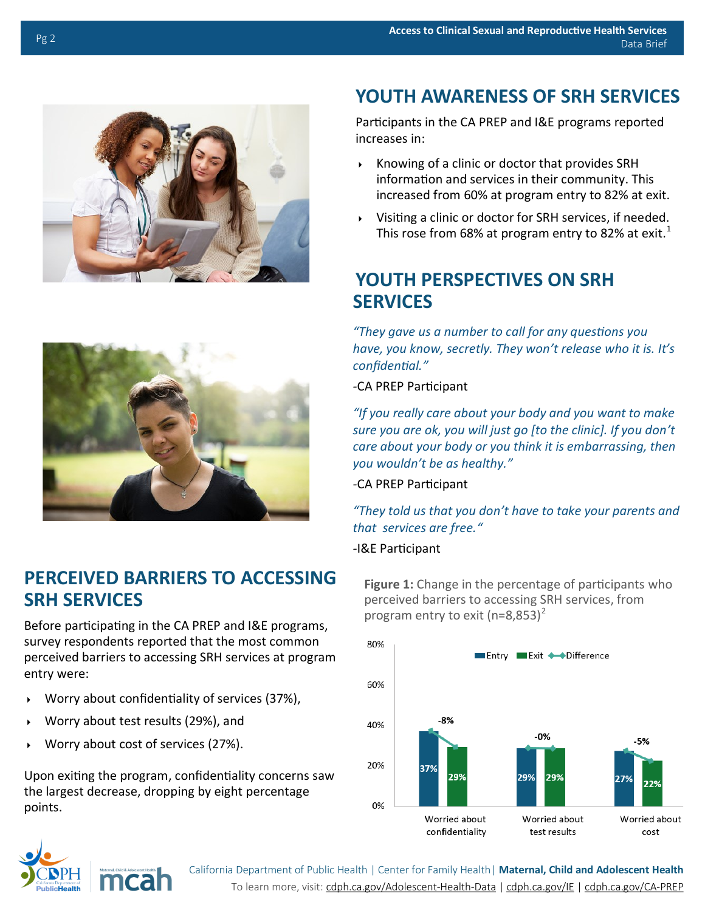



### **PERCEIVED BARRIERS TO ACCESSING SRH SERVICES**

Before participating in the CA PREP and I&E programs, survey respondents reported that the most common perceived barriers to accessing SRH services at program entry were:

- Worry about confidentiality of services (37%),
- Worry about test results (29%), and
- Worry about cost of services (27%).

Upon exiting the program, confidentiality concerns saw the largest decrease, dropping by eight percentage points.

# **YOUTH AWARENESS OF SRH SERVICES**

Participants in the CA PREP and I&E programs reported increases in:

- $\triangleright$  Knowing of a clinic or doctor that provides SRH information and services in their community. This increased from 60% at program entry to 82% at exit.
- Visiting a clinic or doctor for SRH services, if needed. This rose from 68% at program entry to 82% at exit.<sup>[1](#page-2-0)</sup>

## **YOUTH PERSPECTIVES ON SRH SERVICES**

*"They gave us a number to call for any questions you have, you know, secretly. They won't release who it is. It's confidential."*

*-*CA PREP Participant

*sure you are ok, you will just go [to the clinic]. If you don't*<br>care about your body or you think it is embarrassing, then *"If you really care about your body and you want to make care about your body or you think it is embarrassing, then you wouldn't be as healthy."*

*-*CA PREP Participant

*"They told us that you don't have to take your parents and that services are free."*

#### *-*I&E Participant

**Figure 1:** Change in the percentage of participants who perceived barriers to accessing SRH services, from program entry to exit ( $n=8,853$ )<sup>[2](#page-2-0)</sup>





California Department of Public Health | Center for Family Health| **Maternal, Child and Adolescent Health** To learn more, visit: [cdph.ca.gov/Adolescent](http://www.cdph.ca.gov/Adolescent-Health-Data)-Health-Data | [cdph.ca.gov/IE](http://www.cdph.ca.gov/IE) | [cdph.ca.gov/CA](cdph.ca.gov/CA-PREP)-PREP